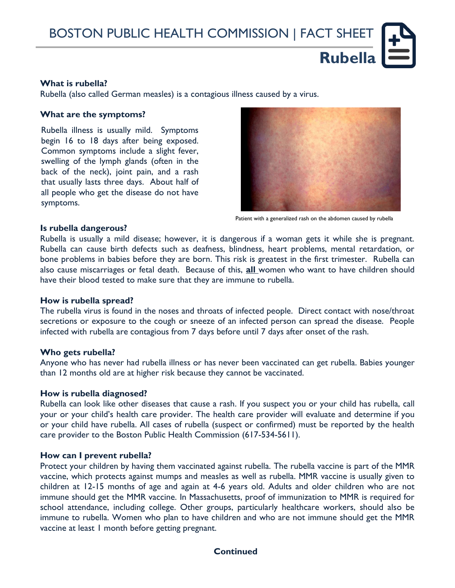BOSTON PUBLIC HEALTH COMMISSION | FACT SHEET

### **What is rubella?**

Rubella (also called German measles) is a contagious illness caused by a virus.

#### **What are the symptoms?**

Rubella illness is usually mild. Symptoms begin 16 to 18 days after being exposed. Common symptoms include a slight fever, swelling of the lymph glands (often in the back of the neck), joint pain, and a rash that usually lasts three days. About half of all people who get the disease do not have symptoms.



**Rubella**

Patient with a generalized rash on the abdomen caused by rubella

#### **Is rubella dangerous?**

Rubella is usually a mild disease; however, it is dangerous if a woman gets it while she is pregnant. Rubella can cause birth defects such as deafness, blindness, heart problems, mental retardation, or bone problems in babies before they are born. This risk is greatest in the first trimester. Rubella can also cause miscarriages or fetal death. Because of this, **all** women who want to have children should have their blood tested to make sure that they are immune to rubella.

#### **How is rubella spread?**

The rubella virus is found in the noses and throats of infected people. Direct contact with nose/throat secretions or exposure to the cough or sneeze of an infected person can spread the disease. People infected with rubella are contagious from 7 days before until 7 days after onset of the rash.

#### **Who gets rubella?**

Anyone who has never had rubella illness or has never been vaccinated can get rubella. Babies younger than 12 months old are at higher risk because they cannot be vaccinated.

#### **How is rubella diagnosed?**

Rubella can look like other diseases that cause a rash. If you suspect you or your child has rubella, call your or your child's health care provider. The health care provider will evaluate and determine if you or your child have rubella. All cases of rubella (suspect or confirmed) must be reported by the health care provider to the Boston Public Health Commission (617-534-5611).

#### **How can I prevent rubella?**

Protect your children by having them vaccinated against rubella. The rubella vaccine is part of the MMR vaccine, which protects against mumps and measles as well as rubella. MMR vaccine is usually given to children at 12-15 months of age and again at 4-6 years old. Adults and older children who are not immune should get the MMR vaccine. In Massachusetts, proof of immunization to MMR is required for school attendance, including college. Other groups, particularly healthcare workers, should also be immune to rubella. Women who plan to have children and who are not immune should get the MMR vaccine at least 1 month before getting pregnant.

**Continued**